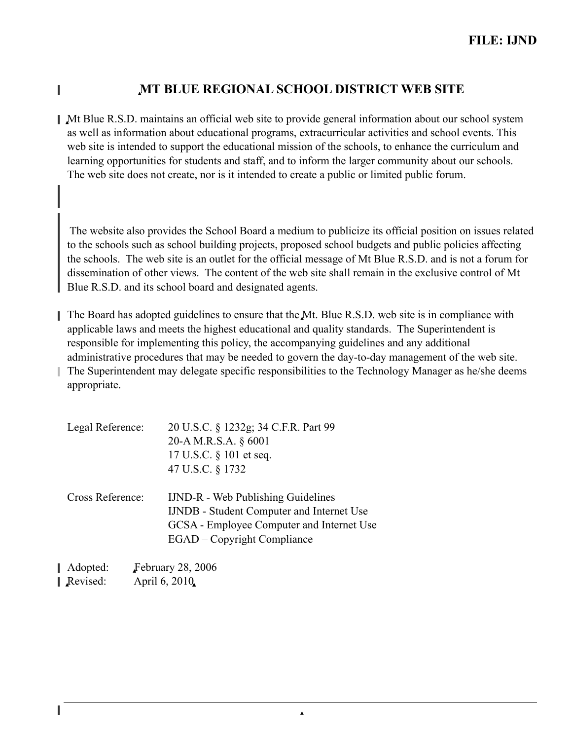## 0**MT BLUE REGIONAL SCHOOL DISTRICT WEB SITE**

0Mt Blue R.S.D. maintains an official web site to provide general information about our school system as well as information about educational programs, extracurricular activities and school events. This web site is intended to support the educational mission of the schools, to enhance the curriculum and learning opportunities for students and staff, and to inform the larger community about our schools. The web site does not create, nor is it intended to create a public or limited public forum.

The website also provides the School Board a medium to publicize its official position on issues related to the schools such as school building projects, proposed school budgets and public policies affecting the schools. The web site is an outlet for the official message of Mt Blue R.S.D. and is not a forum for dissemination of other views. The content of the web site shall remain in the exclusive control of Mt Blue R.S.D. and its school board and designated agents.

The Board has adopted guidelines to ensure that the Mt. Blue R.S.D. web site is in compliance with applicable laws and meets the highest educational and quality standards. The Superintendent is responsible for implementing this policy, the accompanying guidelines and any additional administrative procedures that may be needed to govern the day-to-day management of the web site. The Superintendent may delegate specific responsibilities to the Technology Manager as he/she deems

 $\blacktriangle$ 

appropriate.

Π

I

| 20-A M.R.S.A. § 6001<br>17 U.S.C. § 101 et seq.<br>47 U.S.C. § 1732 |
|---------------------------------------------------------------------|
|                                                                     |
|                                                                     |
|                                                                     |
| <b>IJND-R</b> - Web Publishing Guidelines                           |
| <b>IJNDB</b> - Student Computer and Internet Use                    |
| GCSA - Employee Computer and Internet Use                           |
| <b>EGAD</b> – Copyright Compliance                                  |
| $\lambda$ 11. $\Gamma$ . $\sim$ 0.0.000                             |
|                                                                     |

Adopted: February 28, 2006 Revised: April 6, 2010